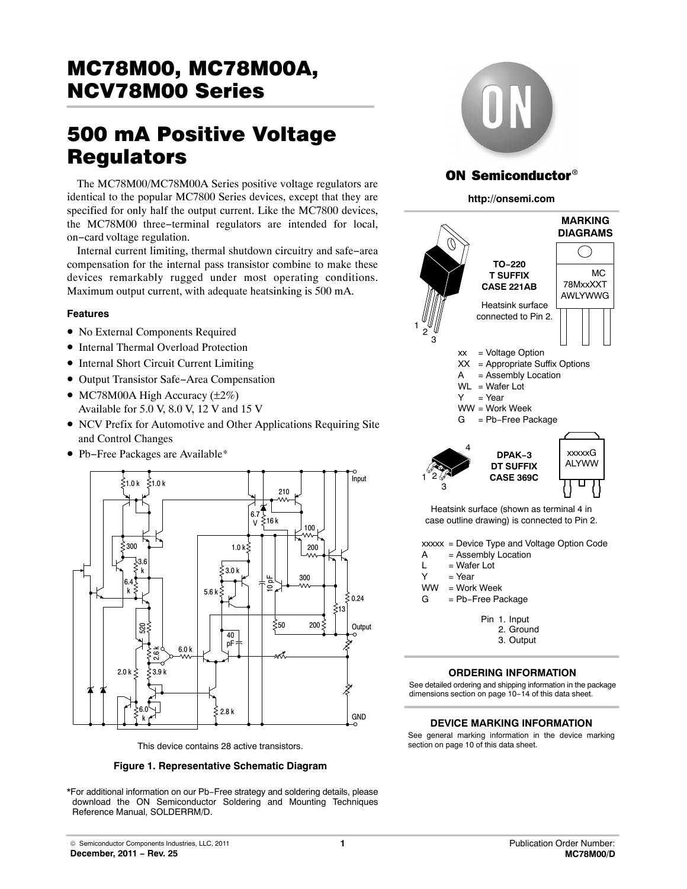# MC78M00, MC78M00A, <u>NCV78M00 Series (Series Series Series Series Series Series Series Series Series Series Series Series Series Se</u>

# 500 mA Positive Voltage

The MC78M00/MC78M00A Series positive voltage regulators are identical to the popular MC7800 Series devices, except that they are specified for only half the output current. Like the MC7800 devices, the MC78M00 three−terminal regulators are intended for local, on−card voltage regulation.

Internal current limiting, thermal shutdown circuitry and safe−area compensation for the internal pass transistor combine to make these devices remarkably rugged under most operating conditions. Maximum output current, with adequate heatsinking is 500 mA.

# **Features**

- No External Components Required
- Internal Thermal Overload Protection
- Internal Short Circuit Current Limiting
- Output Transistor Safe−Area Compensation
- MC78M00A High Accuracy  $(\pm 2\%)$ Available for 5.0 V, 8.0 V, 12 V and 15 V
- NCV Prefix for Automotive and Other Applications Requiring Site and Control Changes
- Pb−Free Packages are Available\*



This device contains 28 active transistors.

**Figure 1. Representative Schematic Diagram**

\*For additional information on our Pb−Free strategy and soldering details, please download the ON Semiconductor Soldering and Mounting Techniques Reference Manual, SOLDERRM/D.



# **ON Semiconductor®**

### **http://onsemi.com**



Heatsink surface (shown as terminal 4 in case outline drawing) is connected to Pin 2.

xxxxx = Device Type and Voltage Option Code

- A = Assembly Location
- $L = Water$  Lot
- $Y = Year$
- WW = Work Week

G = Pb−Free Package

Pin 1. Input

- 2. Ground
- 3. Output

# **ORDERING INFORMATION**

See detailed ordering and shipping information in the package dimensions section on page [10](#page-9-0)−14 of this data sheet.

### **DEVICE MARKING INFORMATION**

See general marking information in the device marking section on page [10](#page-9-0) of this data sheet.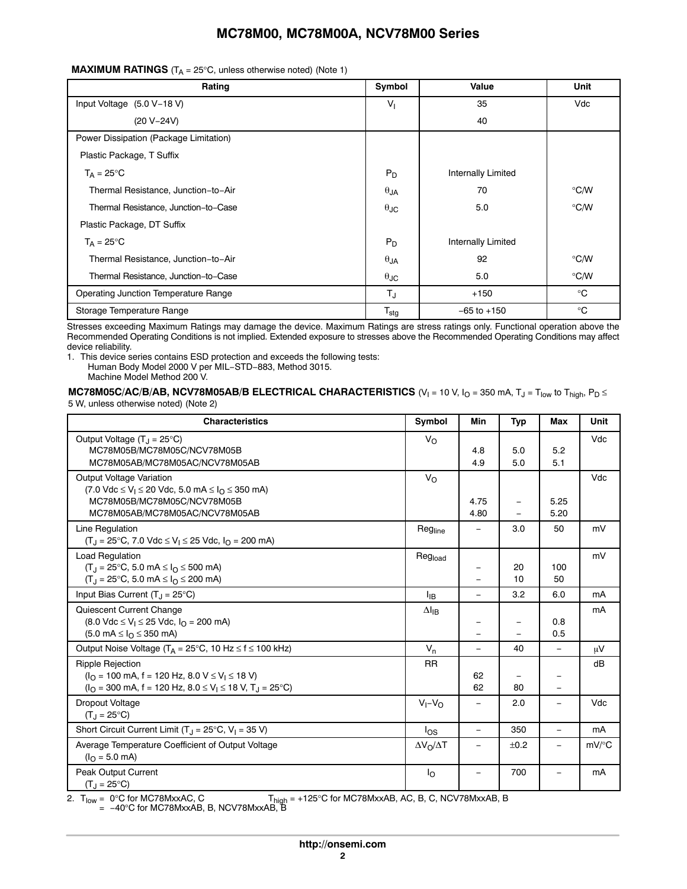| Rating                                 | Symbol               | Value              | Unit          |
|----------------------------------------|----------------------|--------------------|---------------|
| Input Voltage (5.0 V-18 V)             | $V_{1}$              | 35                 | Vdc           |
| $(20 V - 24 V)$                        |                      | 40                 |               |
| Power Dissipation (Package Limitation) |                      |                    |               |
| Plastic Package, T Suffix              |                      |                    |               |
| $T_A = 25^{\circ}C$                    | $P_D$                | Internally Limited |               |
| Thermal Resistance, Junction-to-Air    | $\theta$ JA          | 70                 | $\degree$ C/W |
| Thermal Resistance, Junction-to-Case   | $\theta$ JC          | 5.0                | $\degree$ C/W |
| Plastic Package, DT Suffix             |                      |                    |               |
| $T_A = 25^{\circ}C$                    | $P_D$                | Internally Limited |               |
| Thermal Resistance, Junction-to-Air    | $\theta$ JA          | 92                 | $\degree$ C/W |
| Thermal Resistance, Junction-to-Case   | $\theta_{\text{JC}}$ | 5.0                | $\degree$ C/W |
| Operating Junction Temperature Range   | $T_{\text{J}}$       | $+150$             | $^{\circ}$ C  |
| Storage Temperature Range              | $T_{\text{stg}}$     | $-65$ to $+150$    | $^{\circ}C$   |

Stresses exceeding Maximum Ratings may damage the device. Maximum Ratings are stress ratings only. Functional operation above the Recommended Operating Conditions is not implied. Extended exposure to stresses above the Recommended Operating Conditions may affect device reliability.

1. This device series contains ESD protection and exceeds the following tests: Human Body Model 2000 V per MIL−STD−883, Method 3015.

Machine Model Method 200 V.

**MC78M05C/AC/B/AB, NCV78M05AB/B ELECTRICAL CHARACTERISTICS** (V<sub>I</sub> = 10 V, I<sub>O</sub> = 350 mA, T<sub>J</sub> = T<sub>low</sub> to T<sub>high</sub>, P<sub>D</sub> ≤ 5 W, unless otherwise noted) (Note 2)

| 5 W, unless otherwise noted) (Note 2) |  |  |
|---------------------------------------|--|--|
|---------------------------------------|--|--|

| <b>Characteristics</b>                                                                                                                                                                             | Symbol                | Min                      | <b>Typ</b> | Max                      | Unit     |
|----------------------------------------------------------------------------------------------------------------------------------------------------------------------------------------------------|-----------------------|--------------------------|------------|--------------------------|----------|
| Output Voltage $(T_J = 25^{\circ}C)$<br>MC78M05B/MC78M05C/NCV78M05B<br>MC78M05AB/MC78M05AC/NCV78M05AB                                                                                              | $V_{\rm O}$           | 4.8<br>4.9               | 5.0<br>5.0 | 5.2<br>5.1               | Vdc      |
| Output Voltage Variation<br>$(7.0 \text{ Vdc} \le V_1 \le 20 \text{ Vdc}, 5.0 \text{ mA} \le I_0 \le 350 \text{ mA})$<br>MC78M05B/MC78M05C/NCV78M05B<br>MC78M05AB/MC78M05AC/NCV78M05AB             | $V_{\Omega}$          | 4.75<br>4.80             | -          | 5.25<br>5.20             | Vdc      |
| Line Regulation<br>$(T_J = 25^{\circ}C, 7.0 \text{ Vdc} \le V_I \le 25 \text{ Vdc}, I_O = 200 \text{ mA})$                                                                                         | Regline               |                          | 3.0        | 50                       | mV       |
| Load Regulation<br>$(T_1 = 25^{\circ}C, 5.0 \text{ mA} \leq I_0 \leq 500 \text{ mA}$<br>$(T_1 = 25^{\circ}C, 5.0 \text{ mA} \le I_0 \le 200 \text{ mA})$                                           | Regload               |                          | 20<br>10   | 100<br>50                | mV       |
| Input Bias Current $(T_1 = 25^{\circ}C)$                                                                                                                                                           | $I_{IB}$              | $\overline{\phantom{0}}$ | 3.2        | 6.0                      | mA       |
| Quiescent Current Change<br>$(8.0 \text{ Vdc} \le V_1 \le 25 \text{ Vdc}, I_Q = 200 \text{ mA})$<br>$(5.0 \text{ mA} \leq I_{\Omega} \leq 350 \text{ mA})$                                         | $\Delta I_{IB}$       |                          | -          | 0.8<br>0.5               | mA       |
| Output Noise Voltage ( $T_A = 25^{\circ}$ C, 10 Hz $\leq f \leq 100$ kHz)                                                                                                                          | $V_n$                 | $\overline{\phantom{0}}$ | 40         | $\equiv$                 | $\mu$ V  |
| Ripple Rejection<br>$(IO = 100$ mA, f = 120 Hz, 8.0 V $\leq$ V <sub>I</sub> $\leq$ 18 V)<br>$(IO = 300$ mA, f = 120 Hz, 8.0 $\leq$ V <sub>1</sub> $\leq$ 18 V, T <sub>J</sub> = 25 <sup>o</sup> C) | <b>RR</b>             | 62<br>62                 | 80         | $\qquad \qquad -$        | dB       |
| Dropout Voltage<br>$(T_{.1} = 25^{\circ}C)$                                                                                                                                                        | $V_I - V_O$           | $\qquad \qquad -$        | 2.0        | $\qquad \qquad -$        | Vdc      |
| Short Circuit Current Limit (T <sub>J</sub> = 25°C, V <sub>I</sub> = 35 V)                                                                                                                         | $\log$                | $\overline{\phantom{0}}$ | 350        | $\overline{\phantom{0}}$ | mA       |
| Average Temperature Coefficient of Output Voltage<br>$(IO = 5.0$ mA)                                                                                                                               | $\Delta V_O/\Delta T$ | $\equiv$                 | ±0.2       |                          | $mV$ /°C |
| Peak Output Current<br>$(T_1 = 25^{\circ}C)$                                                                                                                                                       | $I_{\rm O}$           | -                        | 700        |                          | mA       |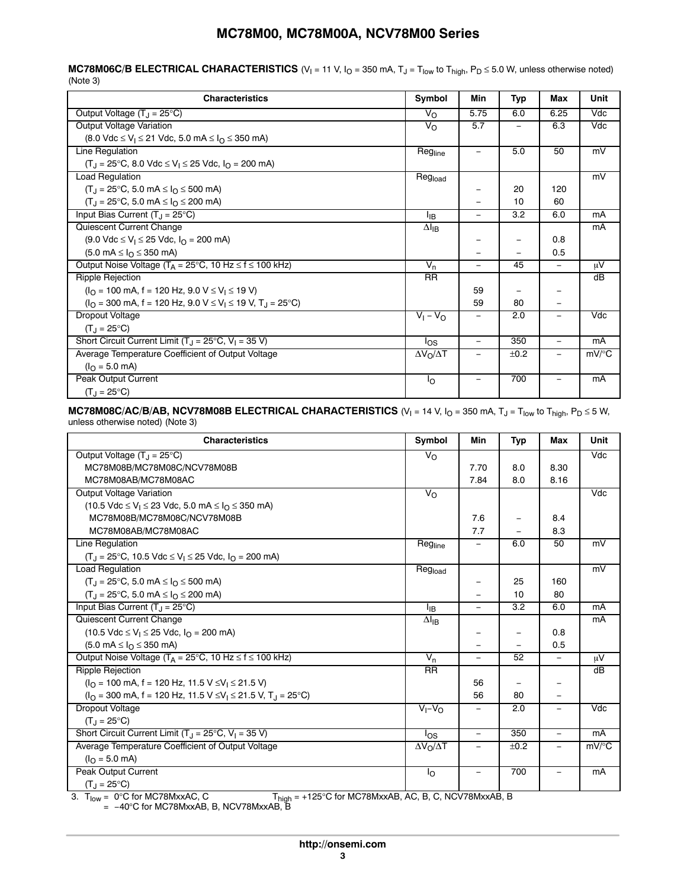**MC78M06C/B ELECTRICAL CHARACTERISTICS**  $(V_1 = 11 \ V_2$ ,  $I_0 = 350 \ mA_2$ ,  $T_3 = T_{low}$  to  $T_{high}$ ,  $P_D \le 5.0 \ W_2$ , unless otherwise noted) (Note 3)

| <b>Characteristics</b>                                                                                   | Symbol                | Min                      | Typ  | Max                      | Unit     |
|----------------------------------------------------------------------------------------------------------|-----------------------|--------------------------|------|--------------------------|----------|
| Output Voltage $(T_1 = 25^{\circ}C)$                                                                     | $V_{\Omega}$          | 5.75                     | 6.0  | 6.25                     | Vdc      |
| Output Voltage Variation                                                                                 | V <sub>O</sub>        | 5.7                      |      | 6.3                      | Vdc      |
| $(8.0 \text{ Vdc} \le V_1 \le 21 \text{ Vdc}, 5.0 \text{ mA} \le I_0 \le 350 \text{ mA})$                |                       |                          |      |                          |          |
| <b>Line Regulation</b>                                                                                   | Regline               |                          | 5.0  | 50                       | mV       |
| $(T_1 = 25^{\circ}C, 8.0 \text{ Vdc} \le V_1 \le 25 \text{ Vdc}, I_0 = 200 \text{ mA}$                   |                       |                          |      |                          |          |
| <b>Load Regulation</b>                                                                                   | Regload               |                          |      |                          | mV       |
| $(T_1 = 25^{\circ}C, 5.0 \text{ mA} \leq I_0 \leq 500 \text{ mA})$                                       |                       |                          | 20   | 120                      |          |
| $(T_1 = 25^{\circ}C, 5.0 \text{ mA} \leq I_0 \leq 200 \text{ mA})$                                       |                       |                          | 10   | 60                       |          |
| Input Bias Current $(T_1 = 25^{\circ}C)$                                                                 | <sup>I</sup> IB       | $\overline{\phantom{a}}$ | 3.2  | 6.0                      | mA       |
| Quiescent Current Change                                                                                 | $\Delta I_{IB}$       |                          |      |                          | mA       |
| $(9.0 \text{ Vdc} \le V_1 \le 25 \text{ Vdc}, I_{\Omega} = 200 \text{ mA})$                              |                       |                          |      | 0.8                      |          |
| $(5.0 \text{ mA} \leq I_{\Omega} \leq 350 \text{ mA})$                                                   |                       |                          |      | 0.5                      |          |
| Output Noise Voltage ( $T_A = 25^{\circ}$ C, 10 Hz $\leq f \leq 100$ kHz)                                | $V_n$                 | $\overline{\phantom{m}}$ | 45   | $\overline{\phantom{0}}$ | μV       |
| <b>Ripple Rejection</b>                                                                                  | <b>RR</b>             |                          |      |                          | dB       |
| $(IO = 100$ mA, f = 120 Hz, 9.0 V $\leq$ V <sub>1</sub> $\leq$ 19 V)                                     |                       | 59                       |      |                          |          |
| $(IO = 300$ mA, f = 120 Hz, 9.0 V $\leq$ V <sub>1</sub> $\leq$ 19 V, T <sub>1</sub> = 25 <sup>o</sup> C) |                       | 59                       | 80   |                          |          |
| Dropout Voltage                                                                                          | $V_1 - V_0$           |                          | 2.0  |                          | Vdc      |
| $(T_1 = 25^{\circ}C)$                                                                                    |                       |                          |      |                          |          |
| Short Circuit Current Limit $(T_J = 25^{\circ}C, V_I = 35 V)$                                            | los                   |                          | 350  |                          | mA       |
| Average Temperature Coefficient of Output Voltage                                                        | $\Delta V_O/\Delta T$ |                          | ±0.2 |                          | $mV$ /°C |
| $(IO = 5.0$ mA)                                                                                          |                       |                          |      |                          |          |
| Peak Output Current                                                                                      | Ιo                    |                          | 700  |                          | mA       |
| $(T_1 = 25^{\circ}C)$                                                                                    |                       |                          |      |                          |          |

### **MC78M08C/AC/B/AB, NCV78M08B ELECTRICAL CHARACTERISTICS**  $(V_1 = 14 \text{ V}$ ,  $I_0 = 350 \text{ mA}$ ,  $T_J = T_{low}$  to  $T_{high}$ ,  $P_D \le 5 \text{ W}$ , unless otherwise noted) (Note 3)

| <b>Characteristics</b>                                                                     | Symbol                | Min      | Typ                      | Max                      | Unit                    |
|--------------------------------------------------------------------------------------------|-----------------------|----------|--------------------------|--------------------------|-------------------------|
| Output Voltage $(T_1 = 25^{\circ}C)$                                                       | $V_{\Omega}$          |          |                          |                          | Vdc                     |
| MC78M08B/MC78M08C/NCV78M08B                                                                |                       | 7.70     | 8.0                      | 8.30                     |                         |
| MC78M08AB/MC78M08AC                                                                        |                       | 7.84     | 8.0                      | 8.16                     |                         |
| Output Voltage Variation                                                                   | $V_{\Omega}$          |          |                          |                          | $\overline{\text{Vdc}}$ |
| $(10.5 \text{ Vdc} \le V_1 \le 23 \text{ Vdc}, 5.0 \text{ mA} \le I_0 \le 350 \text{ mA})$ |                       |          |                          |                          |                         |
| MC78M08B/MC78M08C/NCV78M08B                                                                |                       | 7.6      | -                        | 8.4                      |                         |
| MC78M08AB/MC78M08AC                                                                        |                       | 7.7      |                          | 8.3                      |                         |
| Line Regulation                                                                            | Regline               |          | 6.0                      | 50                       | mV                      |
| $(T_1 = 25^{\circ}C, 10.5 \text{ Vdc} \le V_1 \le 25 \text{ Vdc}, I_0 = 200 \text{ mA}$    |                       |          |                          |                          |                         |
| <b>Load Regulation</b>                                                                     | Regload               |          |                          |                          | mV                      |
| $(T1 = 25°C, 5.0 mA \leq I0 \leq 500 mA)$                                                  |                       |          | 25                       | 160                      |                         |
| $(T_1 = 25^{\circ}C, 5.0 \text{ mA} \leq I_0 \leq 200 \text{ mA})$                         |                       |          | 10                       | 80                       |                         |
| Input Bias Current $(T_1 = 25^{\circ}C)$                                                   | ŀв                    |          | 3.2                      | 6.0                      | mA                      |
| Quiescent Current Change                                                                   | $\Delta I_{IB}$       |          |                          |                          | mA                      |
| $(10.5 \text{ Vdc} \le V_1 \le 25 \text{ Vdc}, I_0 = 200 \text{ mA})$                      |                       |          |                          | 0.8                      |                         |
| $(5.0 \text{ mA} \leq I_{\Omega} \leq 350 \text{ mA})$                                     |                       |          |                          | 0.5                      |                         |
| Output Noise Voltage ( $T_A = 25^{\circ}$ C, 10 Hz $\leq f \leq 100$ kHz)                  | $V_{n}$               | $\equiv$ | 52                       | $\qquad \qquad -$        | μV                      |
| <b>Ripple Rejection</b>                                                                    | $\overline{RR}$       |          |                          |                          | $\overline{dB}$         |
| $(IO = 100$ mA, f = 120 Hz, 11.5 V $\leq$ V <sub>1</sub> $\leq$ 21.5 V)                    |                       | 56       | $\overline{\phantom{0}}$ |                          |                         |
| $(IO = 300$ mA, f = 120 Hz, 11.5 V $\leq V_1 \leq 21.5$ V, T <sub>J</sub> = 25°C)          |                       | 56       | 80                       |                          |                         |
| Dropout Voltage                                                                            | $V_I - V_O$           |          | 2.0                      |                          | Vdc                     |
| $(T_1 = 25^{\circ}C)$                                                                      |                       |          |                          |                          |                         |
| Short Circuit Current Limit $(T_J = 25^{\circ}C, V_I = 35 V)$                              | los                   | $\equiv$ | 350                      | $\equiv$                 | mA                      |
| Average Temperature Coefficient of Output Voltage                                          | $\Delta V_O/\Delta T$ |          | ±0.2                     | $\overline{\phantom{0}}$ | $mV$ /°C                |
| $(I0 = 5.0$ mA)                                                                            |                       |          |                          |                          |                         |
| <b>Peak Output Current</b>                                                                 | Ιo                    |          | 700                      |                          | mA                      |
| $(T_{.1} = 25^{\circ}C)$                                                                   |                       |          |                          |                          |                         |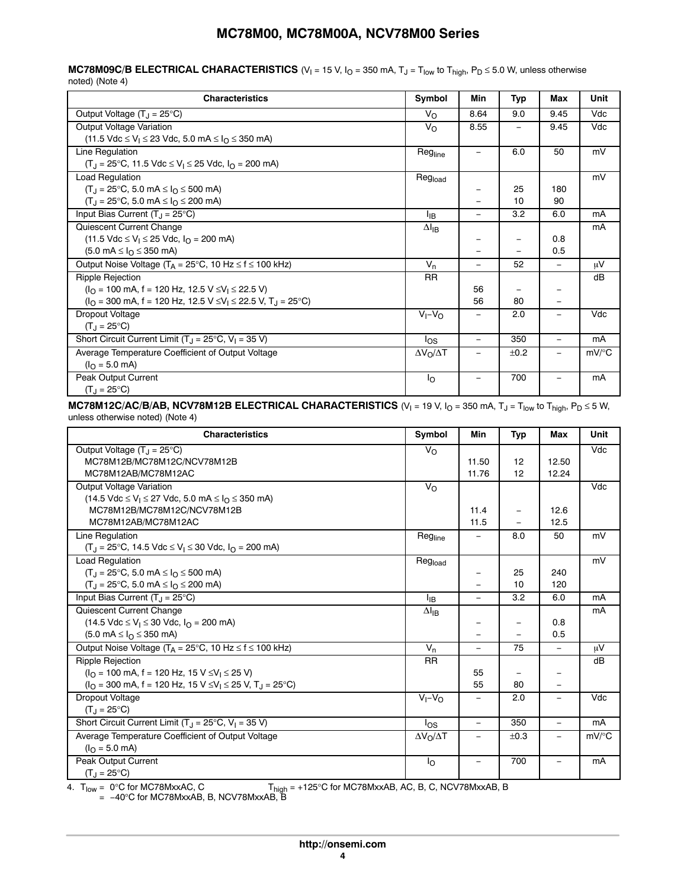**MC78M09C/B ELECTRICAL CHARACTERISTICS**  $(V_1 = 15 V, I_0 = 350 mA, T_J = T_{low}$  to  $T_{high}$ ,  $P_D \le 5.0 W$ , unless otherwise noted) (Note 4)

| <b>Characteristics</b>                                                                                                                                                                                     | Symbol                | Min                          | Typ               | Max                      | Unit     |
|------------------------------------------------------------------------------------------------------------------------------------------------------------------------------------------------------------|-----------------------|------------------------------|-------------------|--------------------------|----------|
| Output Voltage $(T_J = 25^{\circ}C)$                                                                                                                                                                       | $V_{\Omega}$          | 8.64                         | 9.0               | 9.45                     | Vdc      |
| Output Voltage Variation<br>(11.5 Vdc ≤ V <sub>I</sub> ≤ 23 Vdc, 5.0 mA ≤ I <sub>O</sub> ≤ 350 mA)                                                                                                         | $V_{\rm O}$           | 8.55                         | $\qquad \qquad -$ | 9.45                     | Vdc      |
| Line Regulation<br>$(T_1 = 25^{\circ}C, 11.5 \text{ Vdc} \le V_1 \le 25 \text{ Vdc}, I_0 = 200 \text{ mA})$                                                                                                | Regline               |                              | 6.0               | 50                       | mV       |
| Load Regulation<br>$(T_1 = 25^{\circ}C, 5.0 \text{ mA} \leq I_0 \leq 500 \text{ mA}$<br>$(T_1 = 25^{\circ}C, 5.0 \text{ mA} \leq I_0 \leq 200 \text{ mA}$                                                  | Regload               |                              | 25<br>10          | 180<br>90                | mV       |
| Input Bias Current $(T_1 = 25^{\circ}C)$                                                                                                                                                                   | <sup>l</sup> ıB       | $\qquad \qquad -$            | 3.2               | 6.0                      | mA       |
| Quiescent Current Change<br>$(11.5 \text{ Vdc} \le V_1 \le 25 \text{ Vdc}, I_{\Omega} = 200 \text{ mA})$<br>$(5.0 \text{ mA} \leq I_{\Omega} \leq 350 \text{ mA})$                                         | $\Delta I_{IB}$       |                              |                   | 0.8<br>0.5               | mA       |
| Output Noise Voltage ( $T_A = 25^{\circ}$ C, 10 Hz $\leq f \leq 100$ kHz)                                                                                                                                  | $V_n$                 | $\equiv$                     | 52                | $=$                      | μV       |
| Ripple Rejection<br>$(IO = 100$ mA, f = 120 Hz, 12.5 V $\leq$ V <sub>1</sub> $\leq$ 22.5 V)<br>$(IO = 300$ mA, f = 120 Hz, 12.5 V $\leq$ V <sub>1</sub> $\leq$ 22.5 V, T <sub>1</sub> = 25 <sup>o</sup> C) | <b>RR</b>             | 56<br>56                     | 80                |                          | dB       |
| Dropout Voltage<br>$(T_{\rm J} = 25^{\circ} \text{C})$                                                                                                                                                     | $V_I - V_O$           |                              | 2.0               |                          | Vdc      |
| Short Circuit Current Limit $(T_1 = 25^{\circ}C, V_1 = 35 V)$                                                                                                                                              | los                   | $\qquad \qquad -$            | 350               |                          | mA       |
| Average Temperature Coefficient of Output Voltage<br>$(IO = 5.0$ mA)                                                                                                                                       | $\Delta V_O/\Delta T$ | $\qquad \qquad \blacksquare$ | ±0.2              |                          | $mV$ /°C |
| Peak Output Current<br>$(T_J = 25^{\circ}C)$                                                                                                                                                               | Ιo                    | $\overline{\phantom{m}}$     | 700               | $\overline{\phantom{0}}$ | mA       |

**MC78M12C/AC/B/AB, NCV78M12B ELECTRICAL CHARACTERISTICS**  $(V_1 = 19 V, I_0 = 350 mA, T_J = T_{low}$  to  $T_{high}$ ,  $P_D \le 5 W$ , unless otherwise noted) (Note 4)

| <b>Characteristics</b>                                                                                  | Symbol                | Min                      | <b>Typ</b>               | Max                      | Unit     |
|---------------------------------------------------------------------------------------------------------|-----------------------|--------------------------|--------------------------|--------------------------|----------|
| Output Voltage $(T_J = 25^{\circ}C)$                                                                    | $V_{\Omega}$          |                          |                          |                          | Vdc      |
| MC78M12B/MC78M12C/NCV78M12B                                                                             |                       | 11.50                    | 12                       | 12.50                    |          |
| MC78M12AB/MC78M12AC                                                                                     |                       | 11.76                    | 12                       | 12.24                    |          |
| <b>Output Voltage Variation</b>                                                                         | $V_{\rm O}$           |                          |                          |                          | Vdc      |
| $(14.5 \text{ Vdc} \le V_1 \le 27 \text{ Vdc}, 5.0 \text{ mA} \le I_0 \le 350 \text{ mA})$              |                       |                          |                          |                          |          |
| MC78M12B/MC78M12C/NCV78M12B                                                                             |                       | 11.4                     | $\overline{\phantom{m}}$ | 12.6                     |          |
| MC78M12AB/MC78M12AC                                                                                     |                       | 11.5                     |                          | 12.5                     |          |
| Line Regulation                                                                                         | Regline               |                          | 8.0                      | 50                       | mV       |
| $(T_1 = 25^{\circ}C, 14.5 \text{ Vdc} \le V_1 \le 30 \text{ Vdc}, I_0 = 200 \text{ mA})$                |                       |                          |                          |                          |          |
| <b>Load Regulation</b>                                                                                  | Regload               |                          |                          |                          | mV       |
| $(T_1 = 25^{\circ}C, 5.0 \text{ mA} \leq I_0 \leq 500 \text{ mA}$                                       |                       |                          | 25                       | 240                      |          |
| $(T_J = 25^{\circ}C, 5.0 \text{ mA} \leq I_O \leq 200 \text{ mA})$                                      |                       |                          | 10                       | 120                      |          |
| Input Bias Current $(T_1 = 25^{\circ}C)$                                                                | Iв                    | $\equiv$                 | 3.2                      | 6.0                      | mA       |
| Quiescent Current Change                                                                                | $\Delta I_{IB}$       |                          |                          |                          | mA       |
| $(14.5 \text{ Vdc} \le V_1 \le 30 \text{ Vdc}, I_Q = 200 \text{ mA})$                                   |                       |                          |                          | 0.8                      |          |
| $(5.0 \text{ mA} \leq I_{\Omega} \leq 350 \text{ mA})$                                                  |                       |                          |                          | 0.5                      |          |
| Output Noise Voltage ( $T_A = 25^{\circ}$ C, 10 Hz $\leq f \leq 100$ kHz)                               | $V_n$                 | $\equiv$                 | 75                       | $\overline{\phantom{0}}$ | μV       |
| <b>Ripple Rejection</b>                                                                                 | <b>RR</b>             |                          |                          |                          | dB       |
| $(IO = 100$ mA, f = 120 Hz, 15 V $\leq$ V <sub>1</sub> $\leq$ 25 V)                                     |                       | 55                       | $\overline{\phantom{m}}$ | -                        |          |
| $(IO = 300$ mA, f = 120 Hz, 15 V $\leq$ V <sub>1</sub> $\leq$ 25 V, T <sub>J</sub> = 25 <sup>o</sup> C) |                       | 55                       | 80                       |                          |          |
| Dropout Voltage                                                                                         | $V_I - V_O$           | $\overline{\phantom{0}}$ | 2.0                      | $\overline{\phantom{0}}$ | Vdc      |
| $(T_{\rm J} = 25^{\circ} \text{C})$                                                                     |                       |                          |                          |                          |          |
| Short Circuit Current Limit $(T_J = 25^{\circ}C, V_I = 35 V)$                                           | $\log$                |                          | 350                      |                          | mA       |
| Average Temperature Coefficient of Output Voltage                                                       | $\Delta V_O/\Delta T$ |                          | ±0.3                     | $\overline{\phantom{0}}$ | $mV$ /°C |
| $(IO = 5.0$ mA)                                                                                         |                       |                          |                          |                          |          |
| <b>Peak Output Current</b>                                                                              | $I_{\rm O}$           |                          | 700                      |                          | mA       |
| $(T_{.1} = 25^{\circ}C)$                                                                                |                       |                          |                          |                          |          |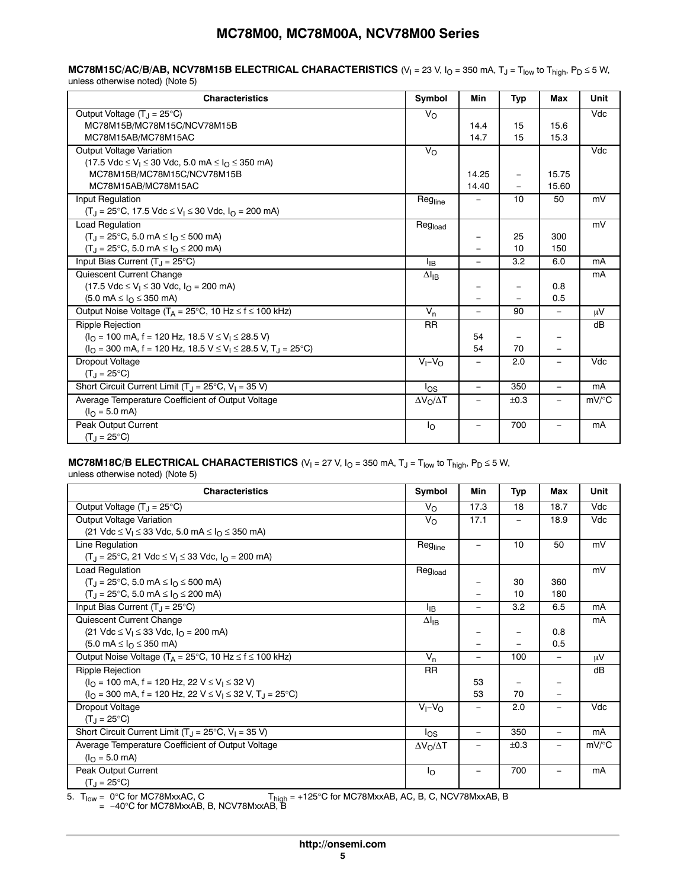### **MC78M15C/AC/B/AB, NCV78M15B ELECTRICAL CHARACTERISTICS** (V<sub>I</sub> = 23 V, I<sub>O</sub> = 350 mA, T<sub>J</sub> = T<sub>low</sub> to T<sub>high</sub>, P<sub>D</sub> ≤ 5 W, unless otherwise noted) (Note 5)

| <b>Characteristics</b>                                                                                      | Symbol                | Min               | <b>Typ</b>               | Max                      | Unit     |
|-------------------------------------------------------------------------------------------------------------|-----------------------|-------------------|--------------------------|--------------------------|----------|
| Output Voltage $(T_J = 25^{\circ}C)$                                                                        | $V_{\Omega}$          |                   |                          |                          | Vdc      |
| MC78M15B/MC78M15C/NCV78M15B                                                                                 |                       | 14.4              | 15                       | 15.6                     |          |
| MC78M15AB/MC78M15AC                                                                                         |                       | 14.7              | 15                       | 15.3                     |          |
| Output Voltage Variation                                                                                    | $V_{\Omega}$          |                   |                          |                          | Vdc      |
| $(17.5 \text{ Vdc} \le V_1 \le 30 \text{ Vdc}, 5.0 \text{ mA} \le I_0 \le 350 \text{ mA})$                  |                       |                   |                          |                          |          |
| MC78M15B/MC78M15C/NCV78M15B                                                                                 |                       | 14.25             | $\overline{\phantom{0}}$ | 15.75                    |          |
| MC78M15AB/MC78M15AC                                                                                         |                       | 14.40             | $\equiv$                 | 15.60                    |          |
| Input Regulation                                                                                            | Regline               | $\equiv$          | 10                       | 50                       | mV       |
| $(T_1 = 25^{\circ}C, 17.5 \text{ Vdc} \le V_1 \le 30 \text{ Vdc}, I_0 = 200 \text{ mA}$                     |                       |                   |                          |                          |          |
| <b>Load Requlation</b>                                                                                      | Regload               |                   |                          |                          | mV       |
| $(T_1 = 25^{\circ}C, 5.0 \text{ mA} \leq I_0 \leq 500 \text{ mA}$                                           |                       |                   | 25                       | 300                      |          |
| $(T_1 = 25^{\circ}C, 5.0 \text{ mA} \leq I_0 \leq 200 \text{ mA}$                                           |                       |                   | 10                       | 150                      |          |
| Input Bias Current $(T_1 = 25^{\circ}C)$                                                                    | <sup>I</sup> IB       | $\equiv$          | 3.2                      | 6.0                      | mA       |
| Quiescent Current Change                                                                                    | $\Delta I_{IB}$       |                   |                          |                          | mA       |
| $(17.5 \text{ Vdc} \le V_1 \le 30 \text{ Vdc}, I_{\Omega} = 200 \text{ mA})$                                |                       |                   |                          | 0.8                      |          |
| $(5.0 \text{ mA} \leq I_{\Omega} \leq 350 \text{ mA})$                                                      |                       |                   |                          | 0.5                      |          |
| Output Noise Voltage ( $T_A = 25^{\circ}C$ , 10 Hz $\leq f \leq 100$ kHz)                                   | $V_n$                 | $\equiv$          | 90                       | $\equiv$                 | μV       |
| Ripple Rejection                                                                                            | <b>RR</b>             |                   |                          |                          | dB       |
| $(IO = 100$ mA, f = 120 Hz, 18.5 V $\leq$ V <sub>1</sub> $\leq$ 28.5 V)                                     |                       | 54                |                          |                          |          |
| $(IO = 300$ mA, f = 120 Hz, 18.5 V $\leq$ V <sub>1</sub> $\leq$ 28.5 V, T <sub>1</sub> = 25 <sup>o</sup> C) |                       | 54                | 70                       | $\overline{\phantom{0}}$ |          |
| Dropout Voltage                                                                                             | $V_I - V_O$           |                   | 2.0                      |                          | Vdc      |
| $(T_{.1} = 25^{\circ}C)$                                                                                    |                       |                   |                          |                          |          |
| Short Circuit Current Limit $(T_1 = 25^{\circ}C, V_1 = 35 V)$                                               | los                   | $\equiv$          | 350                      | $\equiv$                 | mA       |
| Average Temperature Coefficient of Output Voltage                                                           | $\Delta V_O/\Delta T$ |                   | ±0.3                     |                          | $mV$ /°C |
| $(IO = 5.0$ mA)                                                                                             |                       |                   |                          |                          |          |
| Peak Output Current                                                                                         | $I_{\Omega}$          | $\qquad \qquad -$ | 700                      | $\overline{\phantom{0}}$ | mA       |
| $(T_{.1} = 25^{\circ}C)$                                                                                    |                       |                   |                          |                          |          |

# **MC78M18C/B ELECTRICAL CHARACTERISTICS** (V<sub>I</sub> = 27 V, I<sub>O</sub> = 350 mA, T<sub>J</sub> = T<sub>low</sub> to T<sub>high</sub>, P<sub>D</sub> ≤ 5 W,

unless otherwise noted) (Note 5)

| <b>Characteristics</b>                                                                                  | Symbol                  | Min                      | Typ  | Max                      | Unit                |
|---------------------------------------------------------------------------------------------------------|-------------------------|--------------------------|------|--------------------------|---------------------|
| Output Voltage $(T_1 = 25^{\circ}C)$                                                                    | $V_{\Omega}$            | 17.3                     | 18   | 18.7                     | Vdc                 |
| Output Voltage Variation                                                                                | $V_{\rm O}$             | 17.1                     | -    | 18.9                     | Vdc                 |
| (21 Vdc ≤ V <sub>I</sub> ≤ 33 Vdc, 5.0 mA ≤ I <sub>O</sub> ≤ 350 mA)                                    |                         |                          |      |                          |                     |
| Line Regulation                                                                                         | Regline                 | -                        | 10   | 50                       | mV                  |
| $(T_1 = 25^{\circ}C, 21 \text{ Vdc} \le V_1 \le 33 \text{ Vdc}, I_0 = 200 \text{ mA}$                   |                         |                          |      |                          |                     |
| Load Regulation                                                                                         | Regload                 |                          |      |                          | mV                  |
| $(T_1 = 25^{\circ}C, 5.0 \text{ mA} \leq I_0 \leq 500 \text{ mA}$                                       |                         | -                        | 30   | 360                      |                     |
| $(T_1 = 25^{\circ}C, 5.0 \text{ mA} \leq I_0 \leq 200 \text{ mA})$                                      |                         |                          | 10   | 180                      |                     |
| Input Bias Current $(T_1 = 25^{\circ}C)$                                                                | ŀв                      | $\qquad \qquad -$        | 3.2  | 6.5                      | mA                  |
| Quiescent Current Change                                                                                | $\Delta I_{IB}$         |                          |      |                          | mA                  |
| (21 Vdc ≤ V <sub>1</sub> ≤ 33 Vdc, $I_{\Omega}$ = 200 mA)                                               |                         | -                        | -    | 0.8                      |                     |
| $(5.0 \text{ mA} \leq I_{\Omega} \leq 350 \text{ mA})$                                                  |                         |                          |      | 0.5                      |                     |
| Output Noise Voltage ( $T_A = 25^{\circ}$ C, 10 Hz $\leq f \leq 100$ kHz)                               | $V_n$                   | $\overline{\phantom{0}}$ | 100  | $\equiv$                 | μV                  |
| Ripple Rejection                                                                                        | <b>RR</b>               |                          |      |                          | dB                  |
| $(IO = 100$ mA, f = 120 Hz, 22 V $\leq$ V <sub>1</sub> $\leq$ 32 V)                                     |                         | 53                       |      |                          |                     |
| $(IO = 300$ mA, f = 120 Hz, 22 V $\leq$ V <sub>1</sub> $\leq$ 32 V, T <sub>J</sub> = 25 <sup>o</sup> C) |                         | 53                       | 70   | $\overline{\phantom{0}}$ |                     |
| Dropout Voltage                                                                                         | $V_I - V_O$             |                          | 2.0  |                          | Vdc                 |
| $(T_{.1} = 25^{\circ}C)$                                                                                |                         |                          |      |                          |                     |
| Short Circuit Current Limit $(T_1 = 25^{\circ}C, V_1 = 35 V)$                                           | los                     | $\overline{\phantom{0}}$ | 350  | $\equiv$                 | mA                  |
| Average Temperature Coefficient of Output Voltage                                                       | $\Delta V_O / \Delta T$ |                          | ±0.3 |                          | $mV$ <sup>o</sup> C |
| $(I0 = 5.0$ mA)                                                                                         |                         |                          |      |                          |                     |
| Peak Output Current                                                                                     | Ιo                      |                          | 700  |                          | mA                  |
| $(T_J = 25^{\circ}C)$                                                                                   |                         |                          |      |                          |                     |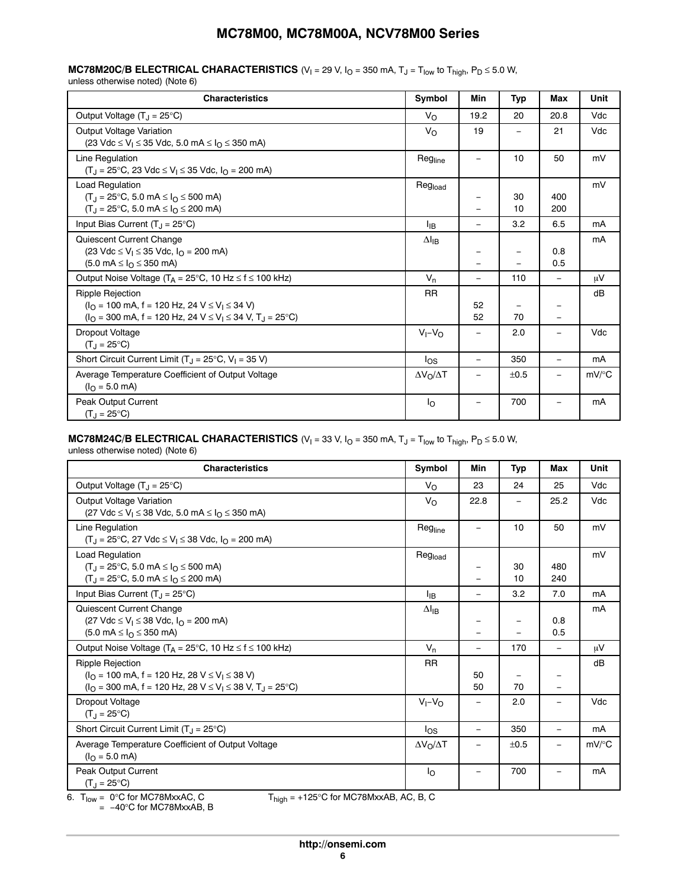### **MC78M20C/B ELECTRICAL CHARACTERISTICS**  $(V_1 = 29 V, I_0 = 350 mA, T_J = T_{low}$  to  $T_{high}$ ,  $P_D \le 5.0 W$ , unless otherwise noted) (Note 6)

| <b>Characteristics</b>                                                                                                                                                                                    | Symbol                | Min                      | Typ                      | Max                      | Unit     |
|-----------------------------------------------------------------------------------------------------------------------------------------------------------------------------------------------------------|-----------------------|--------------------------|--------------------------|--------------------------|----------|
| Output Voltage $(T_1 = 25^{\circ}C)$                                                                                                                                                                      | $V_{\Omega}$          | 19.2                     | 20                       | 20.8                     | Vdc      |
| Output Voltage Variation<br>(23 Vdc ≤ V <sub>I</sub> ≤ 35 Vdc, 5.0 mA ≤ I <sub>O</sub> ≤ 350 mA)                                                                                                          | $V_{\Omega}$          | 19                       |                          | 21                       | Vdc      |
| Line Regulation<br>$(T_J = 25^{\circ}C, 23 \text{ Vdc} \le V_I \le 35 \text{ Vdc}, I_O = 200 \text{ mA})$                                                                                                 | Regline               |                          | 10                       | 50                       | mV       |
| <b>Load Requlation</b><br>$(T_J = 25^{\circ}C, 5.0 \text{ mA} \le I_O \le 500 \text{ mA})$<br>$(T_J = 25^{\circ}C, 5.0 \text{ mA} \le I_O \le 200 \text{ mA})$                                            | Regload               |                          | 30<br>10                 | 400<br>200               | mV       |
| Input Bias Current $(T_J = 25^{\circ}C)$                                                                                                                                                                  | <sup>I</sup> IB       | $\qquad \qquad -$        | 3.2                      | 6.5                      | mA       |
| Quiescent Current Change<br>$(23 \text{ Vdc} \le V_1 \le 35 \text{ Vdc}, I_Q = 200 \text{ mA})$<br>$(5.0 \text{ mA} \leq I_{\Omega} \leq 350 \text{ mA})$                                                 | $\Delta I_{IB}$       |                          | $\overline{\phantom{0}}$ | 0.8<br>0.5               | mA       |
| Output Noise Voltage ( $T_A = 25^{\circ}$ C, 10 Hz $\leq f \leq 100$ kHz)                                                                                                                                 | $V_n$                 | $\overline{\phantom{0}}$ | 110                      | $\equiv$                 | μV       |
| <b>Ripple Rejection</b><br>$(IO = 100$ mA, f = 120 Hz, 24 V $\leq$ V <sub>1</sub> $\leq$ 34 V)<br>$(IO = 300$ mA, f = 120 Hz, 24 V $\leq$ V <sub>1</sub> $\leq$ 34 V, T <sub>J</sub> = 25 <sup>o</sup> C) | <b>RR</b>             | 52<br>52                 | 70                       | $\overline{\phantom{0}}$ | dB       |
| Dropout Voltage<br>$(T_1 = 25^{\circ}C)$                                                                                                                                                                  | $V_1 - V_0$           | $\overline{\phantom{m}}$ | 2.0                      |                          | Vdc      |
| Short Circuit Current Limit ( $T_J = 25^{\circ}C$ , $V_I = 35 V$ )                                                                                                                                        | $\log$                | $\equiv$                 | 350                      | $\equiv$                 | mA       |
| Average Temperature Coefficient of Output Voltage<br>$(I0 = 5.0$ mA)                                                                                                                                      | $\Delta V_O/\Delta T$ |                          | ±0.5                     |                          | $mV$ /°C |
| Peak Output Current<br>$(T_{\rm J} = 25^{\circ} \text{C})$                                                                                                                                                | $I_{\Omega}$          |                          | 700                      |                          | mA       |

# **MC78M24C/B ELECTRICAL CHARACTERISTICS**  $(V_1 = 33 V, I_0 = 350 mA, T_J = T_{low}$  to  $T_{high}$ ,  $P_D \le 5.0 W$ ,

unless otherwise noted) (Note 6)

| <b>Characteristics</b>                                                                                                                                                                                    | Symbol                | Min                      | Typ      | Max                      | Unit     |
|-----------------------------------------------------------------------------------------------------------------------------------------------------------------------------------------------------------|-----------------------|--------------------------|----------|--------------------------|----------|
| Output Voltage $(T_1 = 25^{\circ}C)$                                                                                                                                                                      | $V_{\Omega}$          | 23                       | 24       | 25                       | Vdc      |
| Output Voltage Variation<br>$(27 \text{ Vdc} \le V_1 \le 38 \text{ Vdc}, 5.0 \text{ mA} \le I_0 \le 350 \text{ mA})$                                                                                      | $V_{\rm O}$           | 22.8                     | $\equiv$ | 25.2                     | Vdc      |
| Line Regulation<br>$(T_J = 25^{\circ}C, 27 \text{ Vdc} \le V_I \le 38 \text{ Vdc}, I_O = 200 \text{ mA})$                                                                                                 | Regline               |                          | 10       | 50                       | mV       |
| Load Regulation<br>$(T_J = 25^{\circ}C, 5.0 \text{ mA} \leq I_O \leq 500 \text{ mA})$<br>$(T_J = 25^{\circ}C, 5.0 \text{ mA} \le I_O \le 200 \text{ mA})$                                                 | Regload               | —                        | 30<br>10 | 480<br>240               | mV       |
| Input Bias Current $(T_J = 25^{\circ}C)$                                                                                                                                                                  | ŀв                    | $\overline{\phantom{0}}$ | 3.2      | 7.0                      | mA       |
| Quiescent Current Change<br>$(27 \text{ Vdc} \le V_1 \le 38 \text{ Vdc}, I_{\Omega} = 200 \text{ mA})$<br>$(5.0 \text{ mA} \leq I_{\Omega} \leq 350 \text{ mA})$                                          | $\Delta I_{IB}$       |                          |          | 0.8<br>0.5               | mA       |
| Output Noise Voltage ( $T_A = 25^{\circ}C$ , 10 Hz $\leq f \leq 100$ kHz)                                                                                                                                 | $V_n$                 | $\overline{\phantom{0}}$ | 170      | $\overline{\phantom{m}}$ | μV       |
| <b>Ripple Rejection</b><br>$(IO = 100$ mA, f = 120 Hz, 28 V $\leq$ V <sub>1</sub> $\leq$ 38 V)<br>$(IO = 300$ mA, f = 120 Hz, 28 V $\leq$ V <sub>1</sub> $\leq$ 38 V, T <sub>J</sub> = 25 <sup>o</sup> C) | <b>RR</b>             | 50<br>50                 | 70       | $\overline{\phantom{0}}$ | dB       |
| Dropout Voltage<br>$(T_1 = 25^{\circ}C)$                                                                                                                                                                  | $V_I - V_O$           |                          | 2.0      |                          | Vdc      |
| Short Circuit Current Limit $(T_J = 25^{\circ}C)$                                                                                                                                                         | los                   | $\equiv$                 | 350      |                          | mA       |
| Average Temperature Coefficient of Output Voltage<br>$(I0 = 5.0$ mA)                                                                                                                                      | $\Delta V_O/\Delta T$ | $\overline{\phantom{0}}$ | ±0.5     | $\qquad \qquad -$        | $mV$ /°C |
| Peak Output Current<br>$(T_J = 25^{\circ}C)$                                                                                                                                                              | Ιo                    | —                        | 700      |                          | mA       |

6.  $T_{low}$  = 0°C for MC78MxxAC, C<br>= −40°C for MC78MxxAB, B

 $T_{high} = +125^{\circ}C$  for MC78MxxAB, AC, B, C

**http://onsemi.com 6**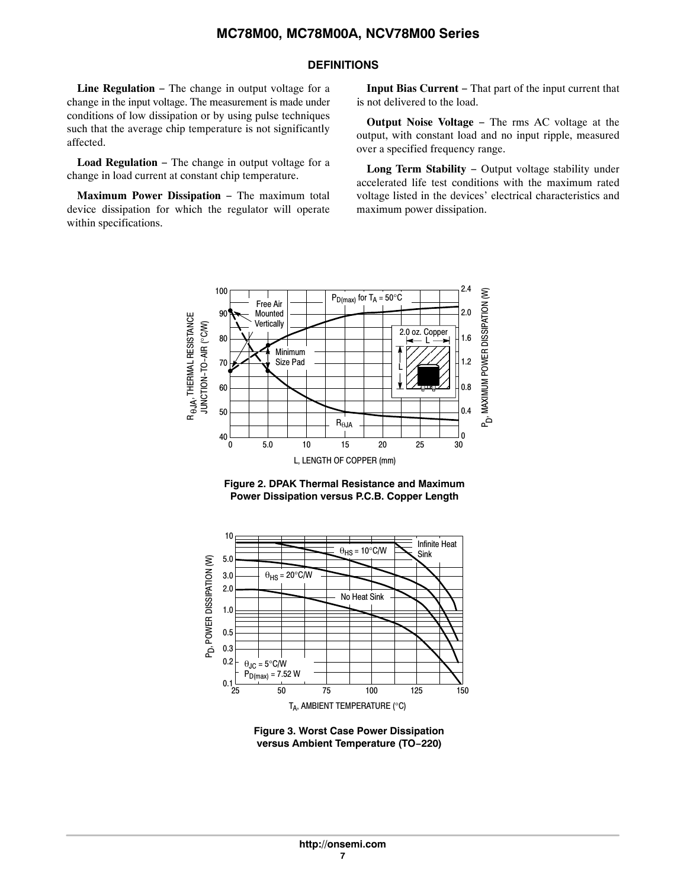# **DEFINITIONS**

**Line Regulation** − The change in output voltage for a change in the input voltage. The measurement is made under conditions of low dissipation or by using pulse techniques such that the average chip temperature is not significantly affected.

**Load Regulation** − The change in output voltage for a change in load current at constant chip temperature.

**Maximum Power Dissipation** − The maximum total device dissipation for which the regulator will operate within specifications.

**Input Bias Current** − That part of the input current that is not delivered to the load.

**Output Noise Voltage** − The rms AC voltage at the output, with constant load and no input ripple, measured over a specified frequency range.

**Long Term Stability** − Output voltage stability under accelerated life test conditions with the maximum rated voltage listed in the devices' electrical characteristics and maximum power dissipation.







**Figure 3. Worst Case Power Dissipation versus Ambient Temperature (TO−220)**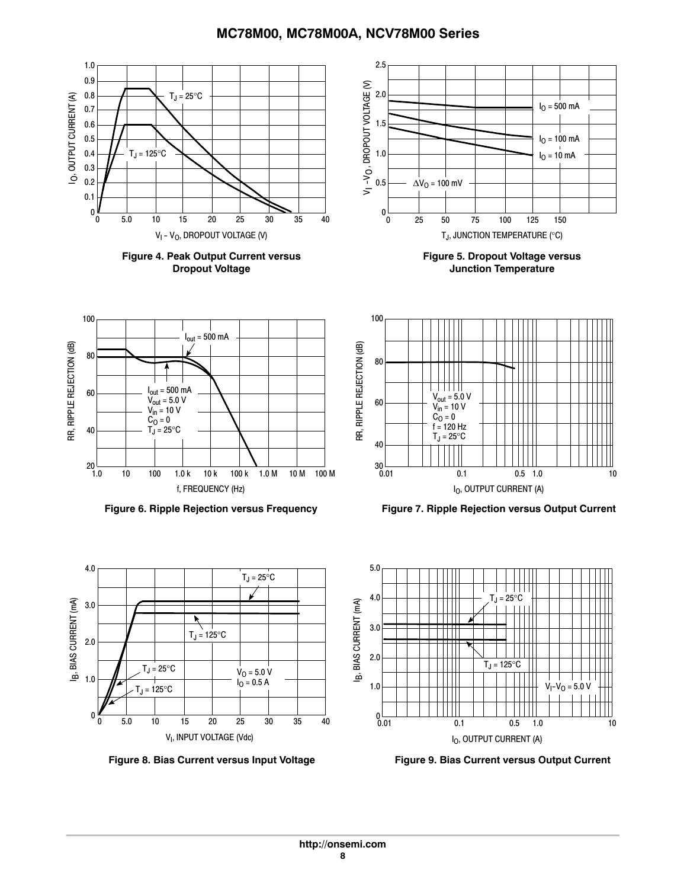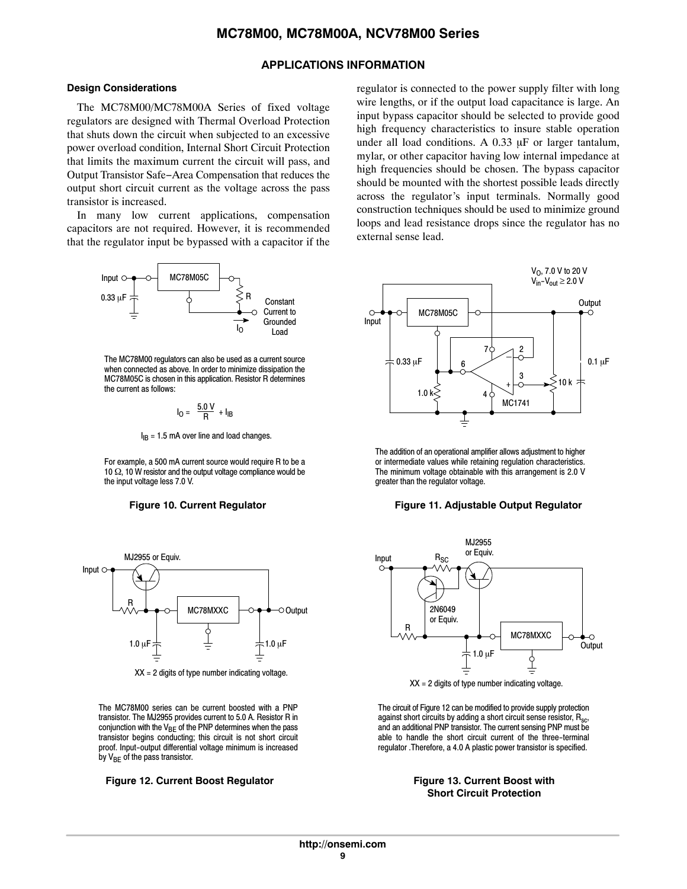# **APPLICATIONS INFORMATION**

### **Design Considerations**

The MC78M00/MC78M00A Series of fixed voltage regulators are designed with Thermal Overload Protection that shuts down the circuit when subjected to an excessive power overload condition, Internal Short Circuit Protection that limits the maximum current the circuit will pass, and Output Transistor Safe−Area Compensation that reduces the output short circuit current as the voltage across the pass transistor is increased.

In many low current applications, compensation capacitors are not required. However, it is recommended that the regulator input be bypassed with a capacitor if the



The MC78M00 regulators can also be used as a current source when connected as above. In order to minimize dissipation the MC78M05C is chosen in this application. Resistor R determines the current as follows:

$$
I_0 = \frac{5.0 \text{ V}}{R} + I_{IB}
$$

 $I_{IB}$  = 1.5 mA over line and load changes.

For example, a 500 mA current source would require R to be a 10  $\Omega$ , 10 W resistor and the output voltage compliance would be the input voltage less 7.0 V.

### **Figure 10. Current Regulator**



 $XX = 2$  digits of type number indicating voltage.

The MC78M00 series can be current boosted with a PNP transistor. The MJ2955 provides current to 5.0 A. Resistor R in conjunction with the  $V_{BE}$  of the PNP determines when the pass transistor begins conducting; this circuit is not short circuit proof. Input-output differential voltage minimum is increased by V<sub>BE</sub> of the pass transistor.

### Figure 12. Current Boost Regulator **Figure 13. Current Boost with**

regulator is connected to the power supply filter with long wire lengths, or if the output load capacitance is large. An input bypass capacitor should be selected to provide good high frequency characteristics to insure stable operation under all load conditions. A  $0.33 \mu F$  or larger tantalum, mylar, or other capacitor having low internal impedance at high frequencies should be chosen. The bypass capacitor should be mounted with the shortest possible leads directly across the regulator's input terminals. Normally good construction techniques should be used to minimize ground loops and lead resistance drops since the regulator has no external sense lead.



The addition of an operational amplifier allows adjustment to higher or intermediate values while retaining regulation characteristics. The minimum voltage obtainable with this arrangement is 2.0 V greater than the regulator voltage.

### **Figure 11. Adjustable Output Regulator**



The circuit of Figure 12 can be modified to provide supply protection against short circuits by adding a short circuit sense resistor,  $R_{sc}$ , and an additional PNP transistor. The current sensing PNP must be able to handle the short circuit current of the three-terminal regulator .Therefore, a 4.0 A plastic power transistor is specified.

# **Short Circuit Protection**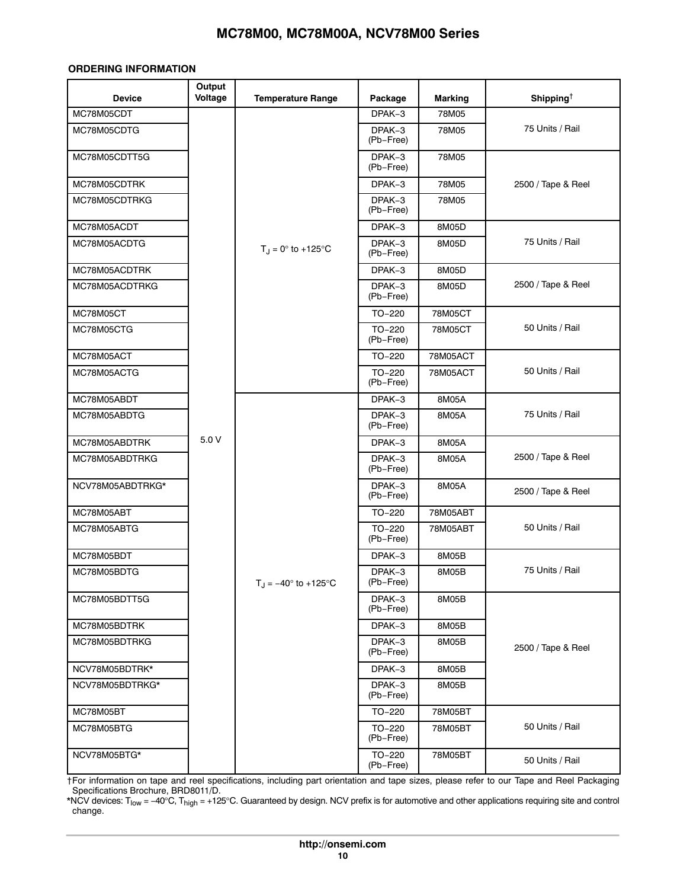### <span id="page-9-0"></span>**ORDERING INFORMATION**

| <b>Device</b>    | Output<br>Voltage | <b>Temperature Range</b>    | Package               | <b>Marking</b> | Shipping <sup><math>\dagger</math></sup> |
|------------------|-------------------|-----------------------------|-----------------------|----------------|------------------------------------------|
| MC78M05CDT       |                   |                             | DPAK-3                | 78M05          |                                          |
| MC78M05CDTG      |                   |                             | DPAK-3<br>(Pb-Free)   | 78M05          | 75 Units / Rail                          |
| MC78M05CDTT5G    |                   |                             | DPAK-3<br>(Pb-Free)   | 78M05          |                                          |
| MC78M05CDTRK     |                   |                             | DPAK-3                | 78M05          | 2500 / Tape & Reel                       |
| MC78M05CDTRKG    |                   |                             | DPAK-3<br>(Pb-Free)   | 78M05          |                                          |
| MC78M05ACDT      |                   |                             | DPAK-3                | 8M05D          |                                          |
| MC78M05ACDTG     |                   | $T_J = 0^\circ$ to +125°C   | DPAK-3<br>(Pb-Free)   | 8M05D          | 75 Units / Rail                          |
| MC78M05ACDTRK    |                   |                             | DPAK-3                | 8M05D          |                                          |
| MC78M05ACDTRKG   |                   |                             | DPAK-3<br>(Pb-Free)   | 8M05D          | 2500 / Tape & Reel                       |
| MC78M05CT        |                   |                             | TO-220                | 78M05CT        |                                          |
| MC78M05CTG       |                   |                             | $TO-220$<br>(Pb-Free) | 78M05CT        | 50 Units / Rail                          |
| MC78M05ACT       |                   |                             | TO-220                | 78M05ACT       |                                          |
| MC78M05ACTG      |                   |                             | TO-220<br>(Pb-Free)   | 78M05ACT       | 50 Units / Rail                          |
| MC78M05ABDT      |                   |                             | DPAK-3                | 8M05A          | 75 Units / Rail                          |
| MC78M05ABDTG     |                   |                             | DPAK-3<br>(Pb-Free)   | 8M05A          |                                          |
| MC78M05ABDTRK    | 5.0 V             |                             | DPAK-3                | 8M05A          | 2500 / Tape & Reel                       |
| MC78M05ABDTRKG   |                   |                             | DPAK-3<br>(Pb-Free)   | 8M05A          |                                          |
| NCV78M05ABDTRKG* |                   |                             | DPAK-3<br>(Pb-Free)   | 8M05A          | 2500 / Tape & Reel                       |
| MC78M05ABT       |                   |                             | TO-220                | 78M05ABT       |                                          |
| MC78M05ABTG      |                   |                             | TO-220<br>(Pb-Free)   | 78M05ABT       | 50 Units / Rail                          |
| MC78M05BDT       |                   |                             | DPAK-3                | 8M05B          |                                          |
| MC78M05BDTG      |                   | $T_J = -40^\circ$ to +125°C | DPAK-3<br>(Pb-Free)   | 8M05B          | 75 Units / Rail                          |
| MC78M05BDTT5G    |                   |                             | DPAK-3<br>(Pb-Free)   | 8M05B          |                                          |
| MC78M05BDTRK     |                   |                             | DPAK-3                | 8M05B          |                                          |
| MC78M05BDTRKG    |                   |                             | DPAK-3<br>(Pb-Free)   | 8M05B          | 2500 / Tape & Reel                       |
| NCV78M05BDTRK*   |                   |                             |                       | 8M05B          |                                          |
| NCV78M05BDTRKG*  |                   |                             | DPAK-3<br>(Pb-Free)   | 8M05B          |                                          |
| MC78M05BT        |                   |                             | TO-220                | 78M05BT        |                                          |
| MC78M05BTG       |                   |                             | TO-220<br>(Pb-Free)   | 78M05BT        | 50 Units / Rail                          |
| NCV78M05BTG*     |                   |                             | TO-220<br>(Pb-Free)   | 78M05BT        | 50 Units / Rail                          |

†For information on tape and reel specifications, including part orientation and tape sizes, please refer to our Tape and Reel Packaging Specifications Brochure, BRD8011/D.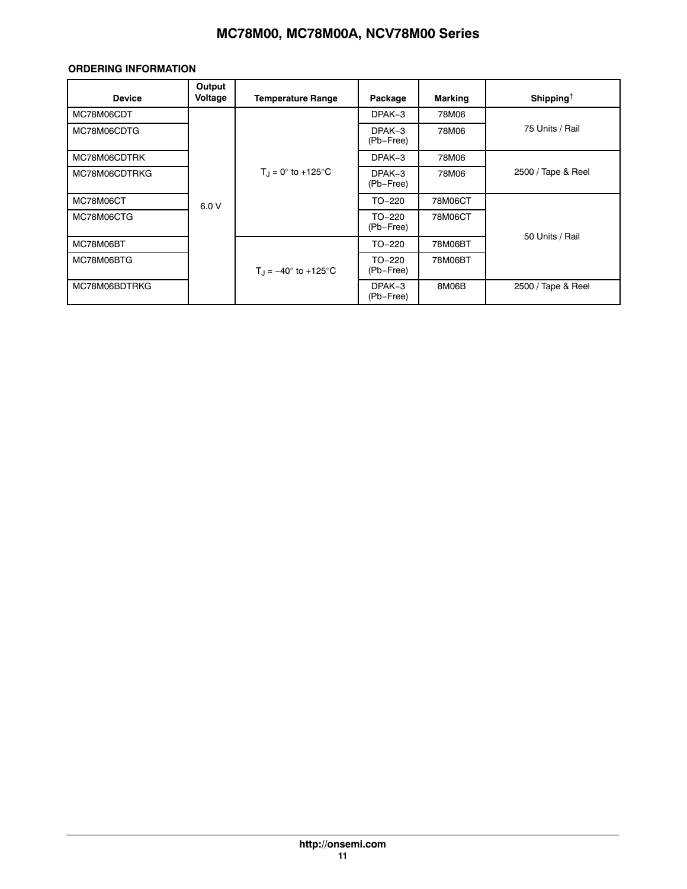# **ORDERING INFORMATION**

| <b>Device</b> | Output<br>Voltage | <b>Temperature Range</b>             | Package             | <b>Marking</b> | Shipping <sup>†</sup> |
|---------------|-------------------|--------------------------------------|---------------------|----------------|-----------------------|
| MC78M06CDT    |                   |                                      | DPAK-3              | 78M06          |                       |
| MC78M06CDTG   |                   |                                      | DPAK-3<br>(Pb-Free) | 78M06          | 75 Units / Rail       |
| MC78M06CDTRK  |                   |                                      | DPAK-3              | 78M06          |                       |
| MC78M06CDTRKG |                   | $T_{\rm J} = 0^{\circ}$ to +125°C    | DPAK-3<br>(Pb-Free) | 78M06          | 2500 / Tape & Reel    |
| MC78M06CT     | 6.0V              |                                      | TO-220              | 78M06CT        |                       |
| MC78M06CTG    |                   |                                      | TO-220<br>(Pb-Free) | 78M06CT        |                       |
| MC78M06BT     |                   |                                      | TO-220              | 78M06BT        | 50 Units / Rail       |
| MC78M06BTG    |                   | $T_{\rm J} = -40^{\circ}$ to +125 °C | TO-220<br>(Pb-Free) | 78M06BT        |                       |
| MC78M06BDTRKG |                   |                                      | DPAK-3<br>(Pb-Free) | 8M06B          | 2500 / Tape & Reel    |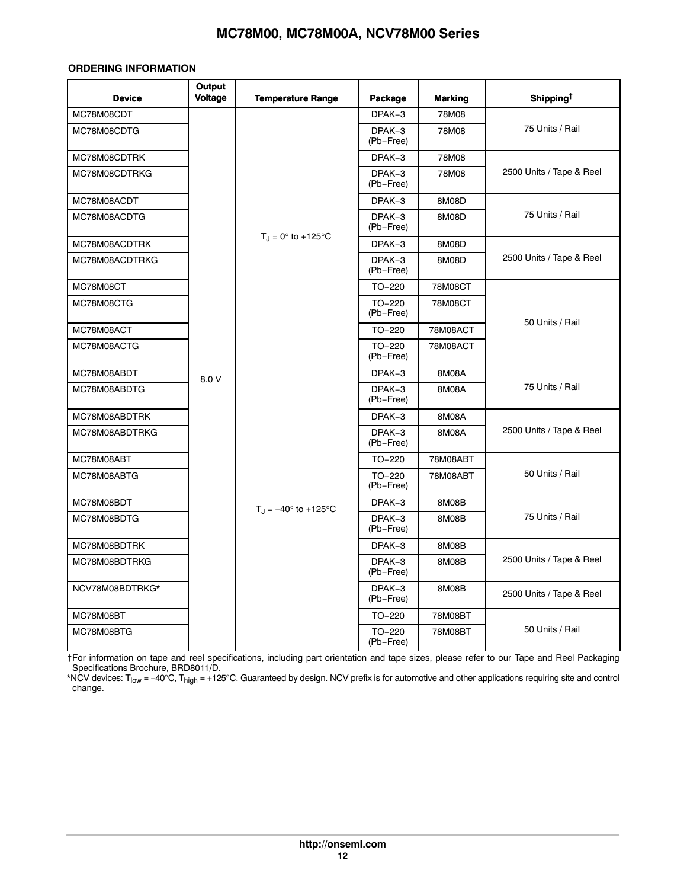# **ORDERING INFORMATION**

| <b>Device</b>   | Output<br><b>Voltage</b> | <b>Temperature Range</b>            | Package               | <b>Marking</b> | Shipping <sup>†</sup>    |
|-----------------|--------------------------|-------------------------------------|-----------------------|----------------|--------------------------|
| MC78M08CDT      |                          |                                     | DPAK-3                | 78M08          |                          |
| MC78M08CDTG     |                          |                                     | DPAK-3<br>(Pb-Free)   | 78M08          | 75 Units / Rail          |
| MC78M08CDTRK    |                          |                                     | DPAK-3                | 78M08          |                          |
| MC78M08CDTRKG   |                          |                                     | DPAK-3<br>(Pb-Free)   | 78M08          | 2500 Units / Tape & Reel |
| MC78M08ACDT     |                          |                                     | DPAK-3                | 8M08D          |                          |
| MC78M08ACDTG    |                          |                                     | DPAK-3<br>(Pb-Free)   | 8M08D          | 75 Units / Rail          |
| MC78M08ACDTRK   |                          | $T_J = 0^\circ$ to +125°C           | DPAK-3                | 8M08D          |                          |
| MC78M08ACDTRKG  |                          |                                     | DPAK-3<br>(Pb-Free)   | 8M08D          | 2500 Units / Tape & Reel |
| MC78M08CT       |                          |                                     | $TO-220$              | 78M08CT        |                          |
| MC78M08CTG      |                          |                                     | TO-220<br>(Pb-Free)   | 78M08CT        | 50 Units / Rail          |
| MC78M08ACT      |                          |                                     | $TO-220$              | 78M08ACT       |                          |
| MC78M08ACTG     |                          |                                     | TO-220<br>(Pb-Free)   | 78M08ACT       |                          |
| MC78M08ABDT     | 8.0 V                    |                                     | DPAK-3                | 8M08A          | 75 Units / Rail          |
| MC78M08ABDTG    |                          |                                     | DPAK-3<br>(Pb-Free)   | 8M08A          |                          |
| MC78M08ABDTRK   |                          |                                     | DPAK-3                | 8M08A          | 2500 Units / Tape & Reel |
| MC78M08ABDTRKG  |                          |                                     | DPAK-3<br>(Pb-Free)   | 8M08A          |                          |
| MC78M08ABT      |                          |                                     | $TO-220$              | 78M08ABT       |                          |
| MC78M08ABTG     |                          |                                     | $TO-220$<br>(Pb-Free) | 78M08ABT       | 50 Units / Rail          |
| MC78M08BDT      |                          | $T_{\rm J} = -40^{\circ}$ to +125°C | DPAK-3                | 8M08B          |                          |
| MC78M08BDTG     |                          |                                     | DPAK-3<br>(Pb-Free)   | 8M08B          | 75 Units / Rail          |
| MC78M08BDTRK    |                          |                                     | DPAK-3                | 8M08B          |                          |
| MC78M08BDTRKG   |                          |                                     | DPAK-3<br>(Pb-Free)   | 8M08B          | 2500 Units / Tape & Reel |
| NCV78M08BDTRKG* |                          |                                     | DPAK-3<br>(Pb-Free)   | 8M08B          | 2500 Units / Tape & Reel |
| MC78M08BT       |                          |                                     | $TO-220$              | 78M08BT        |                          |
| MC78M08BTG      |                          |                                     | TO-220<br>(Pb-Free)   | 78M08BT        | 50 Units / Rail          |

†For information on tape and reel specifications, including part orientation and tape sizes, please refer to our Tape and Reel Packaging Specifications Brochure, BRD8011/D.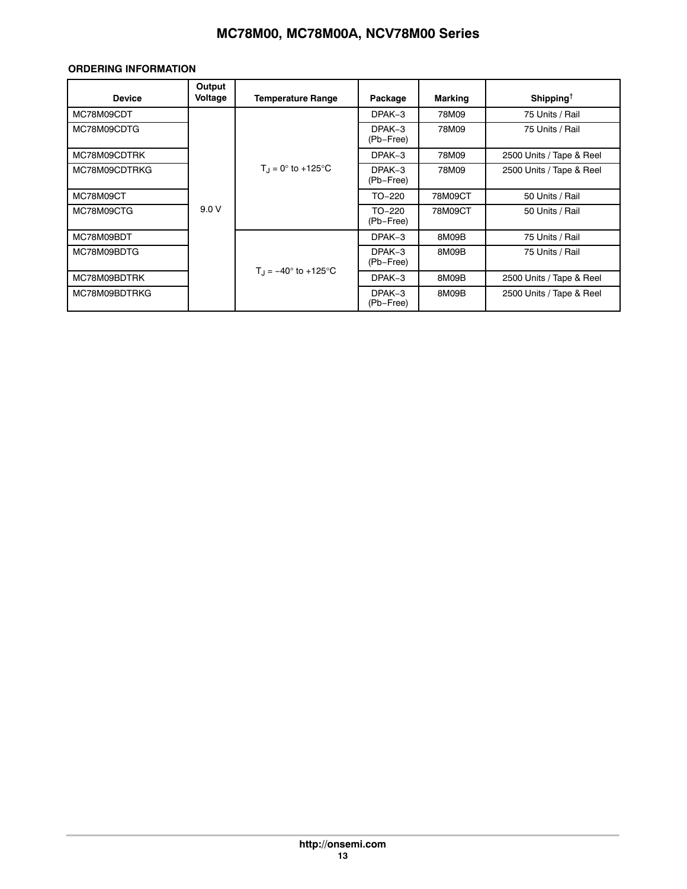# **ORDERING INFORMATION**

| <b>Device</b> | Output<br>Voltage | <b>Temperature Range</b>               | Package             | <b>Marking</b> | Shipping <sup>†</sup>    |
|---------------|-------------------|----------------------------------------|---------------------|----------------|--------------------------|
| MC78M09CDT    |                   |                                        | $DPAK-3$            | 78M09          | 75 Units / Rail          |
| MC78M09CDTG   |                   |                                        | DPAK-3<br>(Pb-Free) | 78M09          | 75 Units / Rail          |
| MC78M09CDTRK  |                   |                                        | DPAK-3              | 78M09          | 2500 Units / Tape & Reel |
| MC78M09CDTRKG |                   | $T_{\rm d} = 0^{\circ}$ to +125°C      | DPAK-3<br>(Pb-Free) | 78M09          | 2500 Units / Tape & Reel |
| MC78M09CT     |                   |                                        | TO-220              | 78M09CT        | 50 Units / Rail          |
| MC78M09CTG    | 9.0V              |                                        | TO-220<br>(Pb-Free) | 78M09CT        | 50 Units / Rail          |
| MC78M09BDT    |                   |                                        | DPAK-3              | 8M09B          | 75 Units / Rail          |
| MC78M09BDTG   |                   |                                        | DPAK-3<br>(Pb-Free) | 8M09B          | 75 Units / Rail          |
| MC78M09BDTRK  |                   | $T_{\text{H}} = -40^{\circ}$ to +125°C | DPAK-3              | 8M09B          | 2500 Units / Tape & Reel |
| MC78M09BDTRKG |                   |                                        | DPAK-3<br>(Pb-Free) | 8M09B          | 2500 Units / Tape & Reel |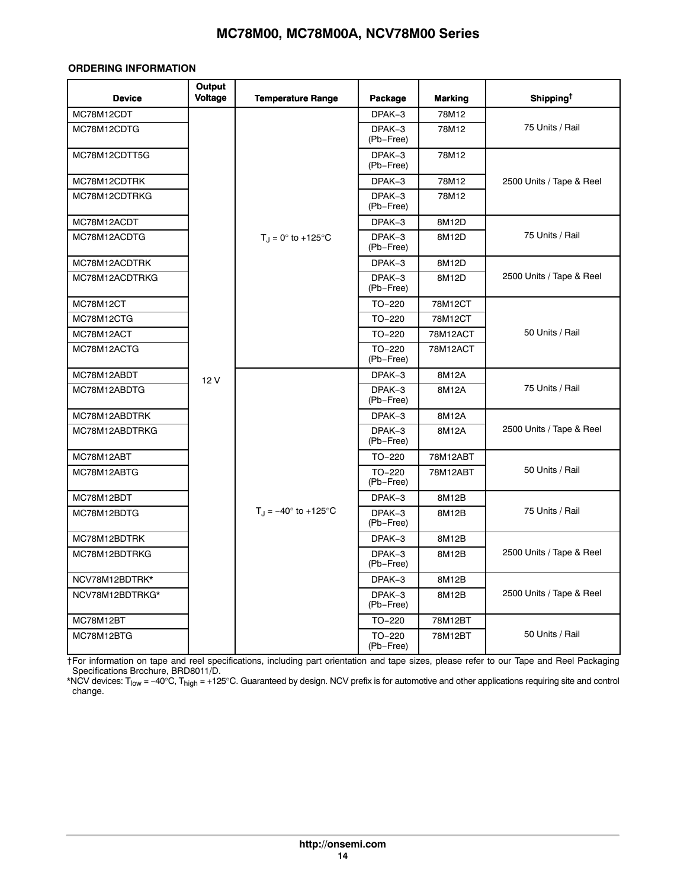# **ORDERING INFORMATION**

| <b>Device</b>   | Output<br><b>Voltage</b> | <b>Temperature Range</b>                                                 | Package             | <b>Marking</b> | Shipping <sup>†</sup>    |
|-----------------|--------------------------|--------------------------------------------------------------------------|---------------------|----------------|--------------------------|
| MC78M12CDT      |                          |                                                                          | DPAK-3              | 78M12          |                          |
| MC78M12CDTG     |                          | $T_{\rm J} = 0^{\circ}$ to +125°C<br>$T_{\rm J} = -40^{\circ}$ to +125°C | DPAK-3<br>(Pb-Free) | 78M12          | 75 Units / Rail          |
| MC78M12CDTT5G   |                          |                                                                          | DPAK-3<br>(Pb-Free) | 78M12          |                          |
| MC78M12CDTRK    |                          |                                                                          | DPAK-3              | 78M12          | 2500 Units / Tape & Reel |
| MC78M12CDTRKG   |                          |                                                                          | DPAK-3<br>(Pb-Free) | 78M12          |                          |
| MC78M12ACDT     |                          |                                                                          | DPAK-3              | 8M12D          |                          |
| MC78M12ACDTG    |                          |                                                                          | DPAK-3<br>(Pb-Free) | 8M12D          | 75 Units / Rail          |
| MC78M12ACDTRK   |                          |                                                                          | DPAK-3              | 8M12D          |                          |
| MC78M12ACDTRKG  |                          |                                                                          | DPAK-3<br>(Pb-Free) | 8M12D          | 2500 Units / Tape & Reel |
| MC78M12CT       |                          |                                                                          | $TO-220$            | 78M12CT        |                          |
| MC78M12CTG      |                          |                                                                          | TO-220              | 78M12CT        |                          |
| MC78M12ACT      |                          |                                                                          | $TO-220$            | 78M12ACT       | 50 Units / Rail          |
| MC78M12ACTG     |                          |                                                                          | TO-220<br>(Pb-Free) | 78M12ACT       |                          |
| MC78M12ABDT     |                          | 12V                                                                      | DPAK-3              | 8M12A          | 75 Units / Rail          |
| MC78M12ABDTG    |                          |                                                                          | DPAK-3<br>(Pb-Free) | 8M12A          |                          |
| MC78M12ABDTRK   |                          |                                                                          | DPAK-3              | 8M12A          | 2500 Units / Tape & Reel |
| MC78M12ABDTRKG  |                          |                                                                          | DPAK-3<br>(Pb-Free) | 8M12A          |                          |
| MC78M12ABT      |                          |                                                                          | $TO-220$            | 78M12ABT       |                          |
| MC78M12ABTG     |                          |                                                                          | TO-220<br>(Pb-Free) | 78M12ABT       | 50 Units / Rail          |
| MC78M12BDT      |                          |                                                                          | DPAK-3              | 8M12B          |                          |
| MC78M12BDTG     |                          |                                                                          | DPAK-3<br>(Pb-Free) | 8M12B          | 75 Units / Rail          |
| MC78M12BDTRK    |                          |                                                                          | DPAK-3              | 8M12B          |                          |
| MC78M12BDTRKG   |                          |                                                                          | DPAK-3<br>(Pb-Free) | 8M12B          | 2500 Units / Tape & Reel |
| NCV78M12BDTRK*  |                          |                                                                          | DPAK-3              | 8M12B          |                          |
| NCV78M12BDTRKG* |                          |                                                                          | DPAK-3<br>(Pb-Free) | 8M12B          | 2500 Units / Tape & Reel |
| MC78M12BT       |                          |                                                                          | TO-220              | 78M12BT        |                          |
| MC78M12BTG      |                          |                                                                          | TO-220<br>(Pb-Free) | 78M12BT        | 50 Units / Rail          |

†For information on tape and reel specifications, including part orientation and tape sizes, please refer to our Tape and Reel Packaging Specifications Brochure, BRD8011/D.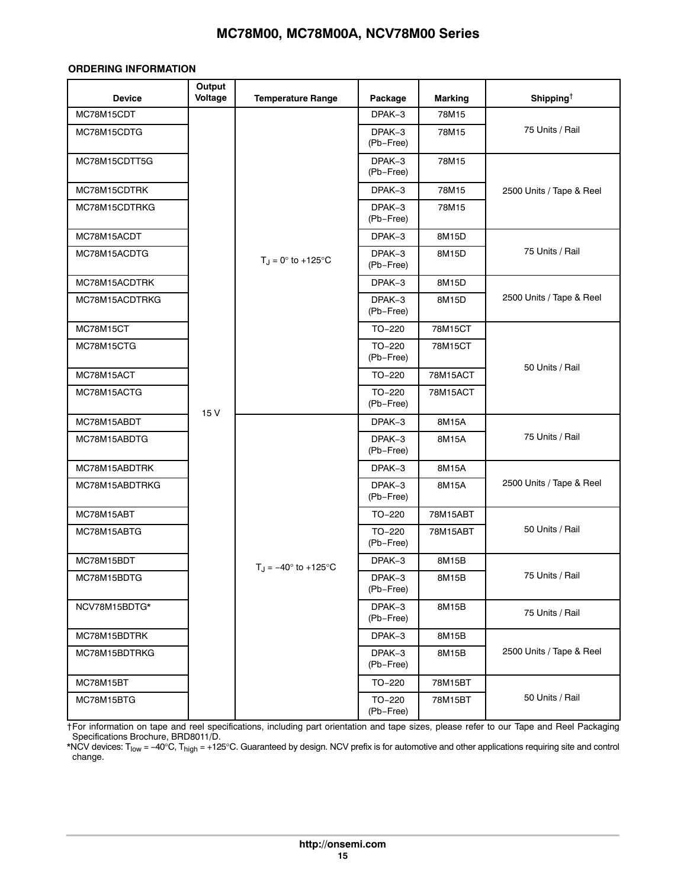# **ORDERING INFORMATION**

| <b>Device</b>  | Output<br>Voltage | <b>Temperature Range</b>      | Package               | <b>Marking</b> | Shipping <sup><math>\dagger</math></sup> |
|----------------|-------------------|-------------------------------|-----------------------|----------------|------------------------------------------|
| MC78M15CDT     |                   |                               | DPAK-3                | 78M15          |                                          |
| MC78M15CDTG    |                   |                               | DPAK-3<br>(Pb-Free)   | 78M15          | 75 Units / Rail                          |
| MC78M15CDTT5G  |                   |                               | DPAK-3<br>(Pb-Free)   | 78M15          |                                          |
| MC78M15CDTRK   |                   |                               | DPAK-3                | 78M15          | 2500 Units / Tape & Reel                 |
| MC78M15CDTRKG  |                   |                               | DPAK-3<br>(Pb-Free)   | 78M15          |                                          |
| MC78M15ACDT    |                   |                               | DPAK-3                | 8M15D          | 75 Units / Rail                          |
| MC78M15ACDTG   |                   | $T_J = 0^\circ$ to +125°C     | DPAK-3<br>(Pb-Free)   | 8M15D          |                                          |
| MC78M15ACDTRK  |                   |                               | DPAK-3                | 8M15D          |                                          |
| MC78M15ACDTRKG |                   |                               | DPAK-3<br>(Pb-Free)   | 8M15D          | 2500 Units / Tape & Reel                 |
| MC78M15CT      |                   |                               | TO-220                | 78M15CT        |                                          |
| MC78M15CTG     |                   |                               | TO-220<br>(Pb-Free)   | 78M15CT        | 50 Units / Rail                          |
| MC78M15ACT     |                   |                               | TO-220                | 78M15ACT       |                                          |
| MC78M15ACTG    |                   |                               | TO-220<br>(Pb-Free)   | 78M15ACT       |                                          |
| MC78M15ABDT    | 15 V              |                               | DPAK-3                | 8M15A          | 75 Units / Rail                          |
| MC78M15ABDTG   |                   |                               | DPAK-3<br>(Pb-Free)   | 8M15A          |                                          |
| MC78M15ABDTRK  |                   |                               | DPAK-3                | 8M15A          | 2500 Units / Tape & Reel                 |
| MC78M15ABDTRKG |                   |                               | DPAK-3<br>(Pb-Free)   | 8M15A          |                                          |
| MC78M15ABT     |                   |                               | TO-220                | 78M15ABT       |                                          |
| MC78M15ABTG    |                   |                               | TO-220<br>(Pb-Free)   | 78M15ABT       | 50 Units / Rail                          |
| MC78M15BDT     |                   |                               | DPAK-3                | 8M15B          |                                          |
| MC78M15BDTG    |                   | $T_J = -40^{\circ}$ to +125°C | DPAK-3<br>(Pb-Free)   | 8M15B          | 75 Units / Rail                          |
| NCV78M15BDTG*  |                   |                               | DPAK-3<br>(Pb-Free)   | 8M15B          | 75 Units / Rail                          |
| MC78M15BDTRK   |                   |                               | DPAK-3                | 8M15B          |                                          |
| MC78M15BDTRKG  |                   |                               | DPAK-3<br>(Pb-Free)   | 8M15B          | 2500 Units / Tape & Reel                 |
| MC78M15BT      |                   |                               | TO-220                | 78M15BT        |                                          |
| MC78M15BTG     |                   |                               | $TO-220$<br>(Pb-Free) | 78M15BT        | 50 Units / Rail                          |

†For information on tape and reel specifications, including part orientation and tape sizes, please refer to our Tape and Reel Packaging Specifications Brochure, BRD8011/D.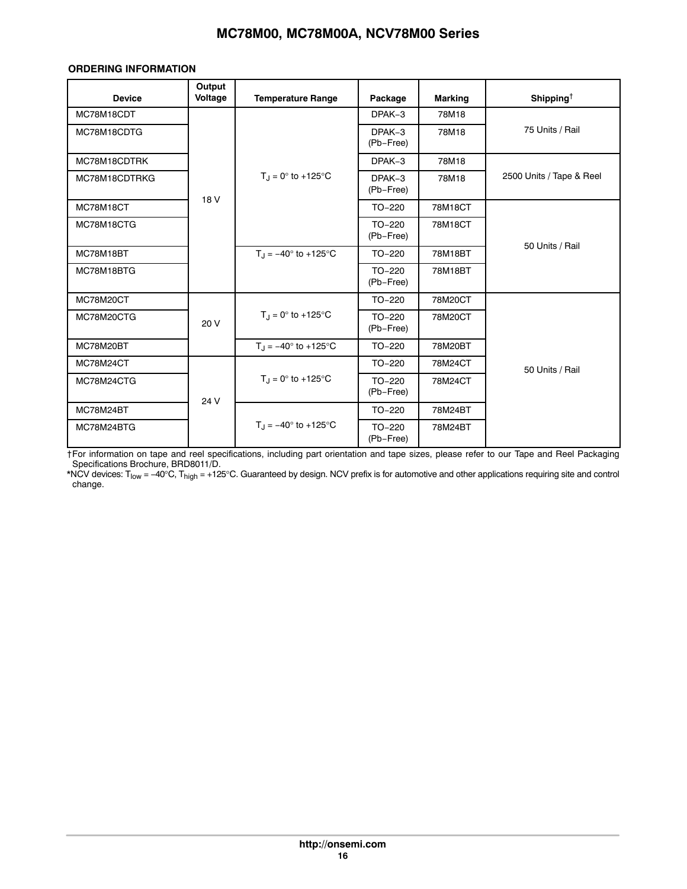# **ORDERING INFORMATION**

| <b>Device</b> | Output<br>Voltage | <b>Temperature Range</b>               | Package               | <b>Marking</b> | Shipping <sup><math>\dagger</math></sup> |
|---------------|-------------------|----------------------------------------|-----------------------|----------------|------------------------------------------|
| MC78M18CDT    |                   |                                        | DPAK-3                | 78M18          |                                          |
| MC78M18CDTG   |                   |                                        | DPAK-3<br>(Pb-Free)   | 78M18          | 75 Units / Rail                          |
| MC78M18CDTRK  |                   |                                        | DPAK-3                | 78M18          |                                          |
| MC78M18CDTRKG |                   | $T_{\rm d} = 0^{\circ}$ to +125°C      | DPAK-3<br>(Pb-Free)   | 78M18          | 2500 Units / Tape & Reel                 |
| MC78M18CT     | 18 V              |                                        | $TO-220$              | 78M18CT        |                                          |
| MC78M18CTG    |                   |                                        | $TO-220$<br>(Pb-Free) | 78M18CT        |                                          |
| MC78M18BT     |                   | $T_{\text{H}} = -40^{\circ}$ to +125°C | TO-220                | 78M18BT        | 50 Units / Rail                          |
| MC78M18BTG    |                   |                                        | $TO-220$<br>(Pb-Free) | 78M18BT        |                                          |
| MC78M20CT     |                   |                                        | $TO-220$              | 78M20CT        |                                          |
| MC78M20CTG    | 20 V              | $T_{\rm J} = 0^{\circ}$ to +125°C      | $TO-220$<br>(Pb-Free) | 78M20CT        |                                          |
| MC78M20BT     |                   | $T_{\rm J} = -40^{\circ}$ to +125°C    | $TO-220$              | 78M20BT        |                                          |
| MC78M24CT     |                   |                                        | $TO-220$              | 78M24CT        | 50 Units / Rail                          |
| MC78M24CTG    | 24 V              | $T_J = 0^\circ$ to +125°C              | TO-220<br>(Pb-Free)   | 78M24CT        |                                          |
| MC78M24BT     |                   |                                        | $TO-220$              | 78M24BT        |                                          |
| MC78M24BTG    |                   | $T_{\rm d} = -40^{\circ}$ to +125°C    | $TO-220$<br>(Pb-Free) | 78M24BT        |                                          |

†For information on tape and reel specifications, including part orientation and tape sizes, please refer to our Tape and Reel Packaging Specifications Brochure, BRD8011/D.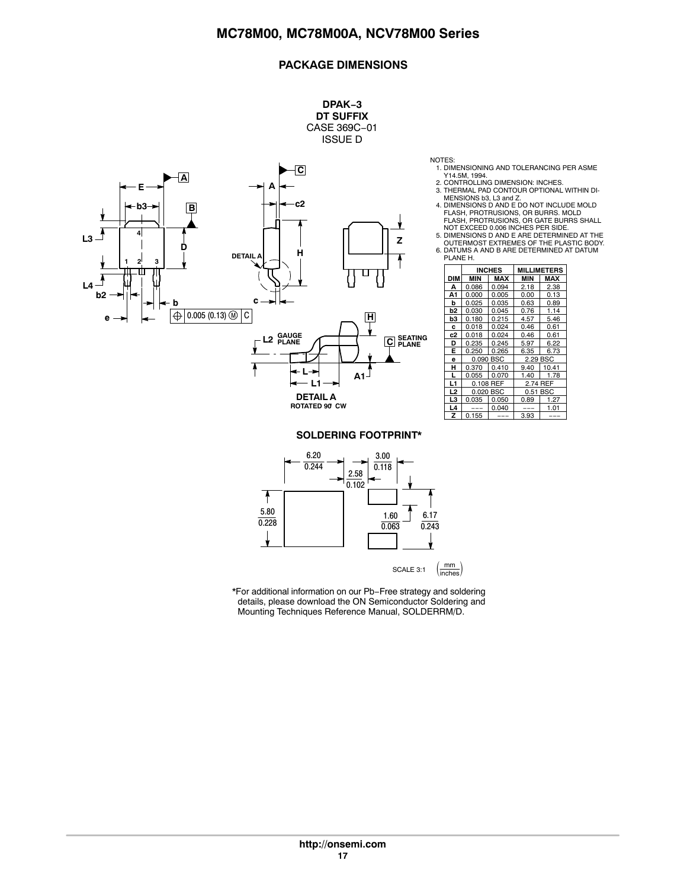# **PACKAGE DIMENSIONS**

**DPAK−3 DT SUFFIX**



NOTES:

- 
- 1. DIMENSIONING AND TOLERANCING PER ASME<br>Y14.5M, 1994.<br>2. CONTROLLING DIMENSION: INCHES.<br>3. THERMAL PAD CONTOUR OPTIONAL WITHIN DI-
- MENSIONS b3, L3 and Z. 4. DIMENSIONS D AND E DO NOT INCLUDE MOLD FLASH, PROTRUSIONS, OR BURRS. MOLD FLASH, PROTRUSIONS, OR GATE BURRS SHALL
- 
- NOT EXCEED 0.006 INCHES PER SIDE.<br>5. DIMENSIONS D AND E ARE DETERMINED AT THE<br>OUTERMOST EXTREMES OF THE PLASTIC BODY.<br>6. DATUMS A AND B ARE DETERMINED AT DATUM

| FLANE FL |            |               |             |       |  |  |  |
|----------|------------|---------------|-------------|-------|--|--|--|
|          |            | <b>INCHES</b> | MILLIMETERS |       |  |  |  |
| DIM      | <b>MIN</b> | MAX           | MIN         | MAX   |  |  |  |
| А        | 0.086      | 0.094         | 2.18        | 2.38  |  |  |  |
| A1       | 0.000      | 0.005         | 0.00        | 0.13  |  |  |  |
| b        | 0.025      | 0.035         | 0.63        | 0.89  |  |  |  |
| b2       | 0.030      | 0.045         | 0.76        | 1.14  |  |  |  |
| b3       | 0.180      | 0.215         | 4.57        | 5.46  |  |  |  |
| c        | 0.018      | 0.024         | 0.46        | 0.61  |  |  |  |
| c2       | 0.018      | 0.024         | 0.46        | 0.61  |  |  |  |
| D        | 0.235      | 0.245         | 5.97        | 6.22  |  |  |  |
| E        | 0.250      | 0.265         | 6.35        | 6.73  |  |  |  |
| e        | 0.090 BSC  |               | 2.29 BSC    |       |  |  |  |
| н        | 0.370      | 0.410         | 9.40        | 10.41 |  |  |  |
| L        | 0.055      | 0.070         | 1.40        | 1.78  |  |  |  |
| L1       |            | 0.108 REF     | 2.74 REF    |       |  |  |  |
| L2       | 0.020 BSC  |               | 0.51 BSC    |       |  |  |  |
| L3       | 0.035      | 0.050         | 0.89        | 1.27  |  |  |  |
| L4       |            | 0.040         |             | 1.01  |  |  |  |
| z        | 0.155      |               | 3.93        |       |  |  |  |

### **SOLDERING FOOTPRINT\***



\*For additional information on our Pb−Free strategy and soldering details, please download the ON Semiconductor Soldering and Mounting Techniques Reference Manual, SOLDERRM/D.